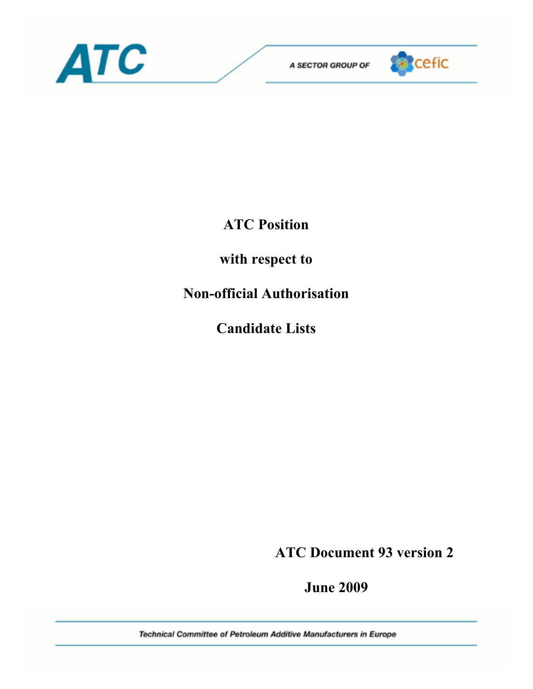



## **ATC Position**

### **with respect to**

# **Non-official Authorisation**

**Candidate Lists** 

 **ATC Document 93 version 2** 

 **June 2009** 

Technical Committee of Petroleum Additive Manufacturers in Europe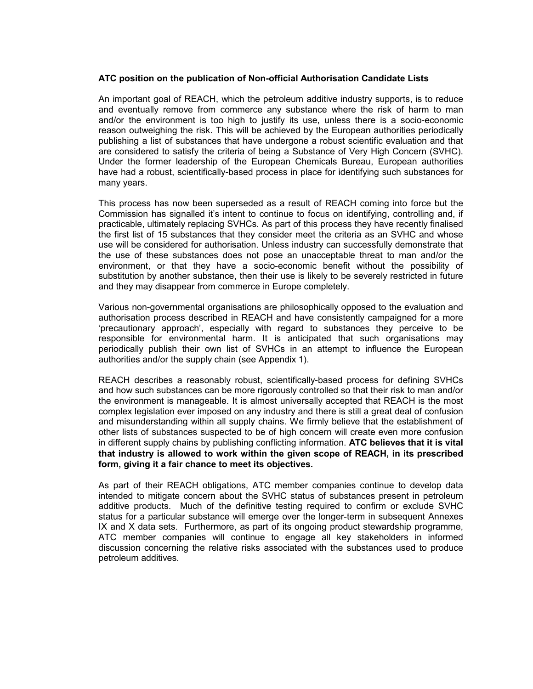#### **ATC position on the publication of Non-official Authorisation Candidate Lists**

An important goal of REACH, which the petroleum additive industry supports, is to reduce and eventually remove from commerce any substance where the risk of harm to man and/or the environment is too high to justify its use, unless there is a socio-economic reason outweighing the risk. This will be achieved by the European authorities periodically publishing a list of substances that have undergone a robust scientific evaluation and that are considered to satisfy the criteria of being a Substance of Very High Concern (SVHC). Under the former leadership of the European Chemicals Bureau, European authorities have had a robust, scientifically-based process in place for identifying such substances for many years.

This process has now been superseded as a result of REACH coming into force but the Commission has signalled it's intent to continue to focus on identifying, controlling and, if practicable, ultimately replacing SVHCs. As part of this process they have recently finalised the first list of 15 substances that they consider meet the criteria as an SVHC and whose use will be considered for authorisation. Unless industry can successfully demonstrate that the use of these substances does not pose an unacceptable threat to man and/or the environment, or that they have a socio-economic benefit without the possibility of substitution by another substance, then their use is likely to be severely restricted in future and they may disappear from commerce in Europe completely.

Various non-governmental organisations are philosophically opposed to the evaluation and authorisation process described in REACH and have consistently campaigned for a more 'precautionary approach', especially with regard to substances they perceive to be responsible for environmental harm. It is anticipated that such organisations may periodically publish their own list of SVHCs in an attempt to influence the European authorities and/or the supply chain (see Appendix 1).

REACH describes a reasonably robust, scientifically-based process for defining SVHCs and how such substances can be more rigorously controlled so that their risk to man and/or the environment is manageable. It is almost universally accepted that REACH is the most complex legislation ever imposed on any industry and there is still a great deal of confusion and misunderstanding within all supply chains. We firmly believe that the establishment of other lists of substances suspected to be of high concern will create even more confusion in different supply chains by publishing conflicting information. **ATC believes that it is vital that industry is allowed to work within the given scope of REACH, in its prescribed form, giving it a fair chance to meet its objectives.** 

As part of their REACH obligations, ATC member companies continue to develop data intended to mitigate concern about the SVHC status of substances present in petroleum additive products. Much of the definitive testing required to confirm or exclude SVHC status for a particular substance will emerge over the longer-term in subsequent Annexes IX and X data sets. Furthermore, as part of its ongoing product stewardship programme, ATC member companies will continue to engage all key stakeholders in informed discussion concerning the relative risks associated with the substances used to produce petroleum additives.